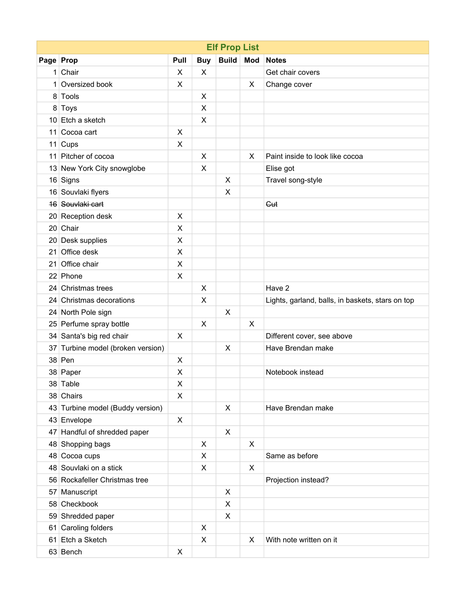| <b>Elf Prop List</b> |                                   |      |                |                           |     |                                                  |  |  |  |  |
|----------------------|-----------------------------------|------|----------------|---------------------------|-----|--------------------------------------------------|--|--|--|--|
| Page Prop            |                                   | Pull | <b>Buy</b>     | <b>Build</b>              | Mod | <b>Notes</b>                                     |  |  |  |  |
|                      | 1 Chair                           | X    | X              |                           |     | Get chair covers                                 |  |  |  |  |
|                      | 1 Oversized book                  | X    |                |                           | X   | Change cover                                     |  |  |  |  |
|                      | 8 Tools                           |      | X              |                           |     |                                                  |  |  |  |  |
|                      | 8 Toys                            |      | X              |                           |     |                                                  |  |  |  |  |
|                      | 10 Etch a sketch                  |      | X              |                           |     |                                                  |  |  |  |  |
|                      | 11 Cocoa cart                     | X    |                |                           |     |                                                  |  |  |  |  |
|                      | $11$ Cups                         | X    |                |                           |     |                                                  |  |  |  |  |
|                      | 11 Pitcher of cocoa               |      | X              |                           | X   | Paint inside to look like cocoa                  |  |  |  |  |
|                      | 13 New York City snowglobe        |      | X              |                           |     | Elise got                                        |  |  |  |  |
|                      | 16 Signs                          |      |                | X                         |     | Travel song-style                                |  |  |  |  |
|                      | 16 Souvlaki flyers                |      |                | $\pmb{\times}$            |     |                                                  |  |  |  |  |
|                      | 16 Souvlaki cart                  |      |                |                           |     | Gut                                              |  |  |  |  |
|                      | 20 Reception desk                 | X    |                |                           |     |                                                  |  |  |  |  |
|                      | 20 Chair                          | X    |                |                           |     |                                                  |  |  |  |  |
|                      | 20 Desk supplies                  | X    |                |                           |     |                                                  |  |  |  |  |
| 21 <sup>1</sup>      | Office desk                       | X    |                |                           |     |                                                  |  |  |  |  |
| 21                   | Office chair                      | X    |                |                           |     |                                                  |  |  |  |  |
|                      | 22 Phone                          | X    |                |                           |     |                                                  |  |  |  |  |
|                      | 24 Christmas trees                |      | X              |                           |     | Have 2                                           |  |  |  |  |
|                      | 24 Christmas decorations          |      | X              |                           |     | Lights, garland, balls, in baskets, stars on top |  |  |  |  |
|                      | 24 North Pole sign                |      |                | X                         |     |                                                  |  |  |  |  |
|                      | 25 Perfume spray bottle           |      | X              |                           | X   |                                                  |  |  |  |  |
|                      | 34 Santa's big red chair          | X    |                |                           |     | Different cover, see above                       |  |  |  |  |
|                      | 37 Turbine model (broken version) |      |                | X                         |     | Have Brendan make                                |  |  |  |  |
|                      | $38$ Pen                          | X    |                |                           |     |                                                  |  |  |  |  |
|                      | 38 Paper                          | X    |                |                           |     | Notebook instead                                 |  |  |  |  |
|                      | 38 Table                          | X    |                |                           |     |                                                  |  |  |  |  |
|                      | 38 Chairs                         | X    |                |                           |     |                                                  |  |  |  |  |
|                      | 43 Turbine model (Buddy version)  |      |                | X                         |     | Have Brendan make                                |  |  |  |  |
|                      | 43 Envelope                       | X    |                |                           |     |                                                  |  |  |  |  |
|                      | 47 Handful of shredded paper      |      |                | $\pmb{\times}$            |     |                                                  |  |  |  |  |
|                      | 48 Shopping bags                  |      | X              |                           | X   |                                                  |  |  |  |  |
|                      | 48 Cocoa cups                     |      | $\pmb{\times}$ |                           |     | Same as before                                   |  |  |  |  |
|                      | 48 Souvlaki on a stick            |      | X              |                           | X   |                                                  |  |  |  |  |
|                      | 56 Rockafeller Christmas tree     |      |                |                           |     | Projection instead?                              |  |  |  |  |
|                      | 57 Manuscript                     |      |                | $\boldsymbol{\mathsf{X}}$ |     |                                                  |  |  |  |  |
|                      | 58 Checkbook                      |      |                | X                         |     |                                                  |  |  |  |  |
|                      | 59 Shredded paper                 |      |                | $\pmb{\times}$            |     |                                                  |  |  |  |  |
|                      | 61 Caroling folders               |      | X              |                           |     |                                                  |  |  |  |  |
|                      | 61 Etch a Sketch                  |      | X              |                           | X   | With note written on it                          |  |  |  |  |
|                      | 63 Bench                          | X    |                |                           |     |                                                  |  |  |  |  |